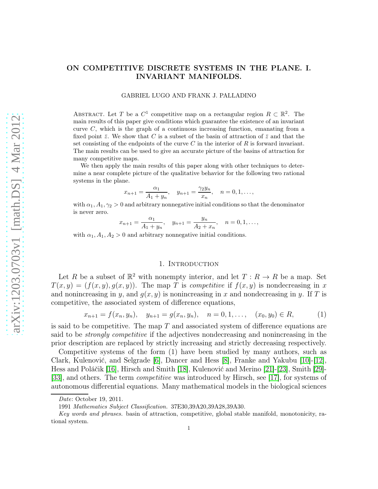# ON COMPETITIVE DISCRETE SYSTEMS IN THE PLANE. I. INVARIANT MANIFOLDS.

#### GABRIEL LUGO AND FRANK J. PALLADINO

ABSTRACT. Let T be a  $C^1$  competitive map on a rectangular region  $R \subset \mathbb{R}^2$ . The main results of this paper give conditions which guarantee the existence of an invariant curve  $C$ , which is the graph of a continuous increasing function, emanating from a fixed point  $\bar{z}$ . We show that C is a subset of the basin of attraction of  $\bar{z}$  and that the set consisting of the endpoints of the curve  $C$  in the interior of  $R$  is forward invariant. The main results can be used to give an accurate picture of the basins of attraction for many competitive maps.

We then apply the main results of this paper along with other techniques to determine a near complete picture of the qualitative behavior for the following two rational systems in the plane.

$$
x_{n+1} = \frac{\alpha_1}{A_1 + y_n}, \quad y_{n+1} = \frac{\gamma_2 y_n}{x_n}, \quad n = 0, 1, \dots,
$$

with  $\alpha_1, A_1, \gamma_2 > 0$  and arbitrary nonnegative initial conditions so that the denominator is never zero.

$$
x_{n+1} = \frac{\alpha_1}{A_1 + y_n}, \quad y_{n+1} = \frac{y_n}{A_2 + x_n}, \quad n = 0, 1, \dots,
$$

with  $\alpha_1, A_1, A_2 > 0$  and arbitrary nonnegative initial conditions.

### 1. INTRODUCTION

Let R be a subset of  $\mathbb{R}^2$  with nonempty interior, and let  $T : R \to R$  be a map. Set  $T(x, y) = (f(x, y), q(x, y))$ . The map T is competitive if  $f(x, y)$  is nondecreasing in x and nonincreasing in y, and  $g(x, y)$  is nonincreasing in x and nondecreasing in y. If T is competitive, the associated system of difference equations,

$$
x_{n+1} = f(x_n, y_n), \quad y_{n+1} = g(x_n, y_n), \quad n = 0, 1, ..., \quad (x_0, y_0) \in R,
$$
 (1)

is said to be competitive. The map  $T$  and associated system of difference equations are said to be strongly competitive if the adjectives nondecreasing and nonincreasing in the prior description are replaced by strictly increasing and strictly decreasing respectively.

Competitive systems of the form (1) have been studied by many authors, such as Clark, Kulenović, and Selgrade [\[6\]](#page-16-0), Dancer and Hess [\[8\]](#page-16-1), Franke and Yakubu [\[10\]](#page-16-2)-[\[12\]](#page-17-0), Hess and Poláčik [\[16\]](#page-17-1), Hirsch and Smith [\[18\]](#page-17-2), Kulenović and Merino [\[21\]](#page-17-3)-[\[23\]](#page-17-4), Smith [\[29\]](#page-17-5)- [\[33\]](#page-17-6), and others. The term competitive was introduced by Hirsch, see [\[17\]](#page-17-7), for systems of autonomous differential equations. Many mathematical models in the biological sciences

Date: October 19, 2011.

<sup>1991</sup> Mathematics Subject Classification. 37E30,39A20,39A28,39A30.

Key words and phrases, basin of attraction, competitive, global stable manifold, monotonicity, rational system.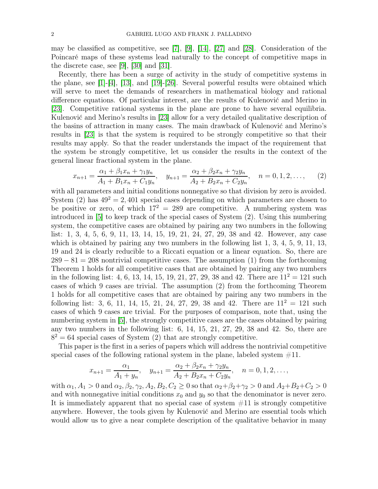may be classified as competitive, see [\[7\]](#page-16-3), [\[9\]](#page-16-4), [\[14\]](#page-17-8), [\[27\]](#page-17-9) and [\[28\]](#page-17-10). Consideration of the Poincaré maps of these systems lead naturally to the concept of competitive maps in the discrete case, see [\[9\]](#page-16-4), [\[30\]](#page-17-11) and [\[31\]](#page-17-12).

Recently, there has been a surge of activity in the study of competitive systems in the plane, see  $[1]-[4]$  $[1]-[4]$ ,  $[13]$ , and  $[19]-[26]$  $[19]-[26]$ . Several powerful results were obtained which will serve to meet the demands of researchers in mathematical biology and rational difference equations. Of particular interest, are the results of Kulenović and Merino in [\[23\]](#page-17-4). Competitive rational systems in the plane are prone to have several equilibria. Kulenović and Merino's results in [\[23\]](#page-17-4) allow for a very detailed qualitative description of the basins of attraction in many cases. The main drawback of Kulenović and Merino's results in [\[23\]](#page-17-4) is that the system is required to be strongly competitive so that their results may apply. So that the reader understands the impact of the requirement that the system be strongly competitive, let us consider the results in the context of the general linear fractional system in the plane.

$$
x_{n+1} = \frac{\alpha_1 + \beta_1 x_n + \gamma_1 y_n}{A_1 + B_1 x_n + C_1 y_n}, \quad y_{n+1} = \frac{\alpha_2 + \beta_2 x_n + \gamma_2 y_n}{A_2 + B_2 x_n + C_2 y_n}, \quad n = 0, 1, 2, \dots
$$
 (2)

with all parameters and initial conditions nonnegative so that division by zero is avoided. System (2) has  $49^2 = 2,401$  special cases depending on which parameters are chosen to be positive or zero, of which  $17^2 = 289$  are competitive. A numbering system was introduced in [\[5\]](#page-16-7) to keep track of the special cases of System (2). Using this numbering system, the competitive cases are obtained by pairing any two numbers in the following list: 1, 3, 4, 5, 6, 9, 11, 13, 14, 15, 19, 21, 24, 27, 29, 38 and 42. However, any case which is obtained by pairing any two numbers in the following list  $1, 3, 4, 5, 9, 11, 13$ , 19 and 24 is clearly reducible to a Riccati equation or a linear equation. So, there are  $289 - 81 = 208$  nontrivial competitive cases. The assumption (1) from the forthcoming Theorem 1 holds for all competitive cases that are obtained by pairing any two numbers in the following list: 4, 6, 13, 14, 15, 19, 21, 27, 29, 38 and 42. There are  $11^2 = 121$  such cases of which 9 cases are trivial. The assumption (2) from the forthcoming Theorem 1 holds for all competitive cases that are obtained by pairing any two numbers in the following list: 3, 6, 11, 14, 15, 21, 24, 27, 29, 38 and 42. There are  $11^2 = 121$  such cases of which 9 cases are trivial. For the purposes of comparison, note that, using the numbering system in [\[5\]](#page-16-7), the strongly competitive cases are the cases obtained by pairing any two numbers in the following list: 6, 14, 15, 21, 27, 29, 38 and 42. So, there are  $8<sup>2</sup> = 64$  special cases of System (2) that are strongly competitive.

This paper is the first in a series of papers which will address the nontrivial competitive special cases of the following rational system in the plane, labeled system  $\#11$ .

$$
x_{n+1} = \frac{\alpha_1}{A_1 + y_n}, \quad y_{n+1} = \frac{\alpha_2 + \beta_2 x_n + \gamma_2 y_n}{A_2 + B_2 x_n + C_2 y_n}, \quad n = 0, 1, 2, \dots,
$$

with  $\alpha_1, A_1 > 0$  and  $\alpha_2, \beta_2, \gamma_2, A_2, B_2, C_2 \geq 0$  so that  $\alpha_2 + \beta_2 + \gamma_2 > 0$  and  $A_2 + B_2 + C_2 > 0$ and with nonnegative initial conditions  $x_0$  and  $y_0$  so that the denominator is never zero. It is immediately apparent that no special case of system #11 is strongly competitive anywhere. However, the tools given by Kulenović and Merino are essential tools which would allow us to give a near complete description of the qualitative behavior in many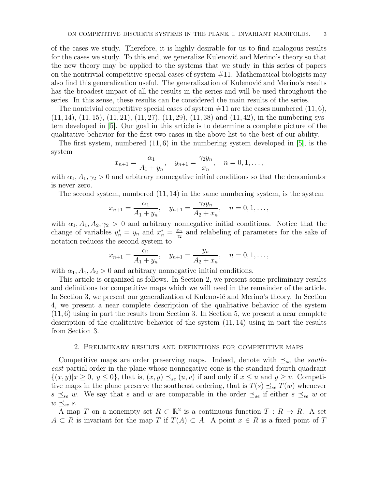of the cases we study. Therefore, it is highly desirable for us to find analogous results for the cases we study. To this end, we generalize Kulenović and Merino's theory so that the new theory may be applied to the systems that we study in this series of papers on the nontrivial competitive special cases of system  $\#11$ . Mathematical biologists may also find this generalization useful. The generalization of Kulenović and Merino's results has the broadest impact of all the results in the series and will be used throughout the series. In this sense, these results can be considered the main results of the series.

The nontrivial competitive special cases of system  $\#11$  are the cases numbered  $(11, 6)$ ,  $(11, 14)$ ,  $(11, 15)$ ,  $(11, 21)$ ,  $(11, 27)$ ,  $(11, 29)$ ,  $(11, 38)$  and  $(11, 42)$ , in the numbering system developed in [\[5\]](#page-16-7). Our goal in this article is to determine a complete picture of the qualitative behavior for the first two cases in the above list to the best of our ability.

The first system, numbered (11, 6) in the numbering system developed in [\[5\]](#page-16-7), is the system

$$
x_{n+1} = \frac{\alpha_1}{A_1 + y_n}, \quad y_{n+1} = \frac{\gamma_2 y_n}{x_n}, \quad n = 0, 1, \ldots,
$$

with  $\alpha_1, A_1, \gamma_2 > 0$  and arbitrary nonnegative initial conditions so that the denominator is never zero.

The second system, numbered  $(11, 14)$  in the same numbering system, is the system

$$
x_{n+1} = \frac{\alpha_1}{A_1 + y_n}, \quad y_{n+1} = \frac{\gamma_2 y_n}{A_2 + x_n}, \quad n = 0, 1, \dots,
$$

with  $\alpha_1, A_1, A_2, \gamma_2 > 0$  and arbitrary nonnegative initial conditions. Notice that the change of variables  $y_n^* = y_n$  and  $x_n^* = \frac{x_n}{\gamma_2}$  $\frac{x_n}{\gamma_2}$  and relabeling of parameters for the sake of notation reduces the second system to

$$
x_{n+1} = \frac{\alpha_1}{A_1 + y_n}, \quad y_{n+1} = \frac{y_n}{A_2 + x_n}, \quad n = 0, 1, \dots,
$$

with  $\alpha_1$ ,  $A_1$ ,  $A_2 > 0$  and arbitrary nonnegative initial conditions.

This article is organized as follows. In Section 2, we present some preliminary results and definitions for competitive maps which we will need in the remainder of the article. In Section 3, we present our generalization of Kulenović and Merino's theory. In Section 4, we present a near complete description of the qualitative behavior of the system (11, 6) using in part the results from Section 3. In Section 5, we present a near complete description of the qualitative behavior of the system (11, 14) using in part the results from Section 3.

### 2. Preliminary results and definitions for competitive maps

Competitive maps are order preserving maps. Indeed, denote with  $\preceq_{se}$  the southeast partial order in the plane whose nonnegative cone is the standard fourth quadrant  $\{(x,y)|x\geq 0, y\leq 0\}$ , that is,  $(x,y)\preceq_{se}(u,v)$  if and only if  $x\leq u$  and  $y\geq v$ . Competitive maps in the plane preserve the southeast ordering, that is  $T(s) \preceq_{se} T(w)$  whenever  $s \preceq_{se} w$ . We say that s and w are comparable in the order  $\preceq_{se}$  if either  $s \preceq_{se} w$  or  $w \preceq_{se} s$ .

A map T on a nonempty set  $R \subset \mathbb{R}^2$  is a continuous function  $T : R \to R$ . A set  $A \subset R$  is invariant for the map T if  $T(A) \subset A$ . A point  $x \in R$  is a fixed point of T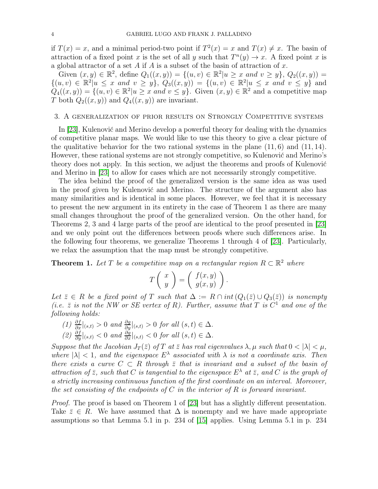if  $T(x) = x$ , and a minimal period-two point if  $T^2(x) = x$  and  $T(x) \neq x$ . The basin of attraction of a fixed point x is the set of all y such that  $T^n(y) \to x$ . A fixed point x is a global attractor of a set A if A is a subset of the basin of attraction of x.

Given  $(x, y) \in \mathbb{R}^2$ , define  $Q_1((x, y)) = \{(u, v) \in \mathbb{R}^2 | u \ge x \text{ and } v \ge y\}$ ,  $Q_2((x, y)) =$  ${(u, v) \in \mathbb{R}^2 | u \leq x \text{ and } v \geq y}, \ Q_3((x, y)) = {(u, v) \in \mathbb{R}^2 | u \leq x \text{ and } v \leq y}$  and  $Q_4((x,y)) = \{(u,v) \in \mathbb{R}^2 | u \ge x \text{ and } v \le y\}.$  Given  $(x,y) \in \mathbb{R}^2$  and a competitive map T both  $Q_2((x, y))$  and  $Q_4((x, y))$  are invariant.

### 3. A generalization of prior results on Strongly Competitive systems

In [\[23\]](#page-17-4), Kulenović and Merino develop a powerful theory for dealing with the dynamics of competitive planar maps. We would like to use this theory to give a clear picture of the qualitative behavior for the two rational systems in the plane  $(11, 6)$  and  $(11, 14)$ . However, these rational systems are not strongly competitive, so Kulenović and Merino's theory does not apply. In this section, we adjust the theorems and proofs of Kulenović and Merino in [\[23\]](#page-17-4) to allow for cases which are not necessarily strongly competitive.

The idea behind the proof of the generalized version is the same idea as was used in the proof given by Kulenović and Merino. The structure of the argument also has many similarities and is identical in some places. However, we feel that it is necessary to present the new argument in its entirety in the case of Theorem 1 as there are many small changes throughout the proof of the generalized version. On the other hand, for Theorems 2, 3 and 4 large parts of the proof are identical to the proof presented in [\[23\]](#page-17-4) and we only point out the differences between proofs where such differences arise. In the following four theorems, we generalize Theorems 1 through 4 of [\[23\]](#page-17-4). Particularly, we relax the assumption that the map must be strongly competitive.

**Theorem 1.** Let T be a competitive map on a rectangular region  $R \subset \mathbb{R}^2$  where

$$
T\left(\begin{array}{c} x \\ y \end{array}\right) = \left(\begin{array}{c} f(x,y) \\ g(x,y) \end{array}\right)
$$

.

Let  $\bar{z} \in R$  be a fixed point of T such that  $\Delta := R \cap int(Q_1(\bar{z}) \cup Q_3(\bar{z}))$  is nonempty (i.e.  $\bar{z}$  is not the NW or SE vertex of R). Further, assume that T is  $C^1$  and one of the following holds:

- (1)  $\frac{\partial f}{\partial x}|_{(s,t)} > 0$  and  $\frac{\partial g}{\partial y}|_{(s,t)} > 0$  for all  $(s,t) \in \Delta$ .
- $(2) \frac{\partial f}{\partial y}|_{(s,t)} < 0 \text{ and } \frac{\partial g}{\partial x}|_{(s,t)} < 0 \text{ for all } (s,t) \in \Delta.$

Suppose that the Jacobian  $J_T(\bar{z})$  of T at  $\bar{z}$  has real eigenvalues  $\lambda, \mu$  such that  $0 < |\lambda| < \mu$ , where  $|\lambda| < 1$ , and the eigenspace  $E^{\lambda}$  associated with  $\lambda$  is not a coordinate axis. Then there exists a curve  $C \subset R$  through  $\overline{z}$  that is invariant and a subset of the basin of attraction of  $\bar{z}$ , such that C is tangential to the eigenspace  $E^{\lambda}$  at  $\bar{z}$ , and C is the graph of a strictly increasing continuous function of the first coordinate on an interval. Moreover, the set consisting of the endpoints of C in the interior of R is forward invariant.

Proof. The proof is based on Theorem 1 of [\[23\]](#page-17-4) but has a slightly different presentation. Take  $\bar{z} \in R$ . We have assumed that  $\Delta$  is nonempty and we have made appropriate assumptions so that Lemma 5.1 in p. 234 of [\[15\]](#page-17-16) applies. Using Lemma 5.1 in p. 234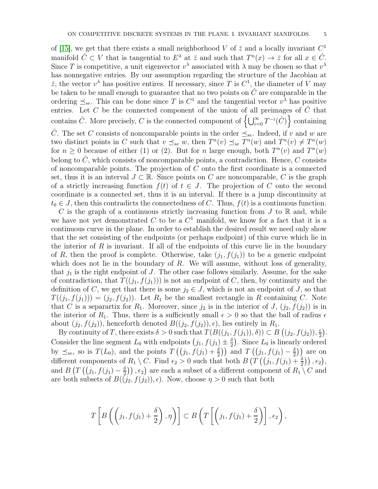of [\[15\]](#page-17-16), we get that there exists a small neighborhood V of  $\bar{z}$  and a locally invariant  $C^1$ manifold  $\hat{C} \subset V$  that is tangential to  $E^{\lambda}$  at  $\overline{z}$  and such that  $T^{n}(x) \to \overline{z}$  for all  $x \in \hat{C}$ . Since T is competitive, a unit eigenvector  $v^{\lambda}$  associated with  $\lambda$  may be chosen so that  $v^{\lambda}$ has nonnegative entries. By our assumption regarding the structure of the Jacobian at  $\bar{z}$ , the vector  $v^{\lambda}$  has positive entires. If necessary, since T is  $C^1$ , the diameter of V may be taken to be small enough to guarantee that no two points on  $\hat{C}$  are comparable in the ordering  $\preceq_{se}$ . This can be done since T is  $C^1$  and the tangential vector  $v^{\lambda}$  has positive entries. Let C be the connected component of the union of all preimages of  $\hat{C}$  that contains  $\hat{C}$ . More precisely, C is the connected component of  $\left\{\bigcup_{i=0}^{\infty}T^{-i}(\hat{C})\right\}$  containing

 $\hat{C}$ . The set C consists of noncomparable points in the order  $\preceq_{se}$ . Indeed, if v and w are two distinct points in C such that  $v \preceq_{se} w$ , then  $T^{n}(v) \preceq_{se} T^{n}(w)$  and  $T^{n}(v) \neq T^{n}(w)$ for  $n \geq 0$  because of either (1) or (2). But for n large enough, both  $T^n(v)$  and  $T^n(w)$ belong to  $\hat{C}$ , which consists of noncomparable points, a contradiction. Hence, C consists of noncomparable points. The projection of  $C$  onto the first coordinate is a connected set, thus it is an interval  $J \subset \mathbb{R}$ . Since points on C are noncomparable, C is the graph of a strictly increasing function  $f(t)$  of  $t \in J$ . The projection of C onto the second coordinate is a connected set, thus it is an interval. If there is a jump discontinuity at  $t_0 \in J$ , then this contradicts the connectedness of C. Thus,  $f(t)$  is a continuous function.

C is the graph of a continuous strictly increasing function from  $J$  to  $\mathbb R$  and, while we have not yet demonstrated C to be a  $C<sup>1</sup>$  manifold, we know for a fact that it is a continuous curve in the plane. In order to establish the desired result we need only show that the set consisting of the endpoints (or perhaps endpoint) of this curve which lie in the interior of  $R$  is invariant. If all of the endpoints of this curve lie in the boundary of R, then the proof is complete. Otherwise, take  $(j_1, f(j_1))$  to be a generic endpoint which does not lie in the boundary of  $R$ . We will assume, without loss of generality, that  $j_1$  is the right endpoint of J. The other case follows similarly. Assume, for the sake of contradiction, that  $T((j_1, f(j_1)))$  is not an endpoint of C, then, by continuity and the definition of C, we get that there is some  $j_2 \in J$ , which is not an endpoint of J, so that  $T((j_1, f(j_1))) = (j_2, f(j_2))$ . Let  $R_1$  be the smallest rectangle in R containing C. Note that C is a separartix for  $R_1$ . Moreover, since  $j_2$  is in the interior of  $J$ ,  $(j_2, f(j_2))$  is in the interior of  $R_1$ . Thus, there is a sufficiently small  $\epsilon > 0$  so that the ball of radius  $\epsilon$ about  $(j_2, f(j_2))$ , henceforth denoted  $B((j_2, f(j_2)), \epsilon)$ , lies entirely in  $R_1$ .

By continuity of T, there exists  $\delta > 0$  such that  $T(B((j_1, f(j_1)), \delta)) \subset B((j_2, f(j_2)), \frac{\epsilon}{2})$  $\frac{\epsilon}{2}$ . Consider the line segment  $L_0$  with endpoints  $(j_1, f(j_1) \pm \frac{\delta}{2})$  $\frac{\delta}{2}$ ). Since  $L_0$  is linearly ordered by  $\preceq_{se}$ , so is  $T(L_0)$ , and the points  $T((j_1, f(j_1) + \frac{\delta}{2}))$  and  $T((j_1, f(j_1) - \frac{\delta}{2}))$  $\left(\frac{\delta}{2}\right)$ ) are on different components of  $R_1 \setminus C$ . Find  $\epsilon_2 > 0$  such that both  $B(T((j_1, f(j_1) + \frac{\delta}{2}))$ ,  $\epsilon_2)$ , and  $B\left(T\left(\left(j_1, f(j_1) - \frac{\delta}{2}\right)\right)\right)$  $\left(\frac{\delta}{2}\right)$ ,  $\epsilon_2$ ) are each a subset of a different component of  $R_1 \setminus C$  and are both subsets of  $B(\tilde(j_2, f(j_2)), \epsilon)$ . Now, choose  $\eta > 0$  such that both

$$
T\left[B\left(\left(j_1,f(j_1)+\frac{\delta}{2}\right),\eta\right)\right] \subset B\left(T\left[\left(j_1,f(j_1)+\frac{\delta}{2}\right)\right],\epsilon_2\right),\right.
$$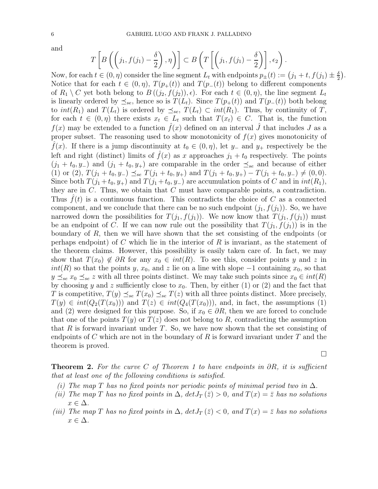and

$$
T\left[B\left(\left(j_1,f(j_1)-\frac{\delta}{2}\right),\eta\right)\right] \subset B\left(T\left[\left(j_1,f(j_1)-\frac{\delta}{2}\right)\right],\epsilon_2\right).
$$

Now, for each  $t \in (0, \eta)$  consider the line segment  $L_t$  with endpoints  $p_{\pm}(t) := (j_1 + t, f(j_1) \pm \frac{\delta}{2})$ Notice that for each  $t \in (0, \eta)$ ,  $T(p_{+}(t))$  and  $T(p_{-}(t))$  belong to different components of  $R_1 \setminus C$  yet both belong to  $B((j_2, f(j_2)), \epsilon)$ . For each  $t \in (0, \eta)$ , the line segment  $L_t$ is linearly ordered by  $\preceq_{se}$ , hence so is  $T(L_t)$ . Since  $T(p_+(t))$  and  $T(p_-(t))$  both belong to  $int(R_1)$  and  $T(L_t)$  is ordered by  $\preceq_{se} T(L_t) \subset int(R_1)$ . Thus, by continuity of T, for each  $t \in (0, \eta)$  there exists  $x_t \in L_t$  such that  $T(x_t) \in C$ . That is, the function  $f(x)$  may be extended to a function  $\hat{f}(x)$  defined on an interval  $\hat{J}$  that includes  $J$  as a proper subset. The reasoning used to show monotonicity of  $f(x)$  gives monotonicity of  $f(x)$ . If there is a jump discontinuity at  $t_0 \in (0, \eta)$ , let  $y_$  and  $y_+$  respectively be the left and right (distinct) limits of  $\hat{f}(x)$  as x approaches  $j_1 + t_0$  respectively. The points  $(j_1 + t_0, y_+)$  and  $(j_1 + t_0, y_+)$  are comparable in the order  $\preceq_{se}$  and because of either (1) or (2),  $T(j_1 + t_0, y_-) \preceq_{se} T(j_1 + t_0, y_+)$  and  $T(j_1 + t_0, y_+) - T(j_1 + t_0, y_-) \neq (0, 0)$ . Since both  $T(j_1+t_0, y_+)$  and  $T(j_1+t_0, y_-)$  are accumulation points of C and in  $int(R_1)$ , they are in C. Thus, we obtain that C must have comparable points, a contradiction. Thus  $f(t)$  is a continuous function. This contradicts the choice of C as a connected component, and we conclude that there can be no such endpoint  $(j_1, f(j_1))$ . So, we have narrowed down the possibilities for  $T(j_1, f(j_1))$ . We now know that  $T(j_1, f(j_1))$  must be an endpoint of C. If we can now rule out the possibility that  $T(j_1, f(j_1))$  is in the boundary of R, then we will have shown that the set consisting of the endpoints (or perhaps endpoint) of C which lie in the interior of R is invariant, as the statement of the theorem claims. However, this possibility is easily taken care of. In fact, we may show that  $T(x_0) \notin \partial R$  for any  $x_0 \in int(R)$ . To see this, consider points y and z in  $int(R)$  so that the points y,  $x_0$ , and z lie on a line with slope  $-1$  containing  $x_0$ , so that  $y \preceq_{se} x_0 \preceq_{se} z$  with all three points distinct. We may take such points since  $x_0 \in int(R)$ by choosing y and z sufficiently close to  $x_0$ . Then, by either (1) or (2) and the fact that T is competitive,  $T(y) \preceq_{se} T(x_0) \preceq_{se} T(z)$  with all three points distinct. More precisely,  $T(y) \in int(Q_2(T(x_0)))$  and  $T(z) \in int(Q_4(T(x_0))),$  and, in fact, the assumptions (1) and (2) were designed for this purpose. So, if  $x_0 \in \partial R$ , then we are forced to conclude that one of the points  $T(y)$  or  $T(z)$  does not belong to R, contradicting the assumption that  $R$  is forward invariant under  $T$ . So, we have now shown that the set consisting of endpoints of C which are not in the boundary of R is forward invariant under T and the theorem is proved.

 $\Box$ 

 $\frac{\delta}{2}$ .

**Theorem 2.** For the curve C of Theorem 1 to have endpoints in  $\partial R$ , it is sufficient that at least one of the following conditions is satisfied.

- (i) The map T has no fixed points nor periodic points of minimal period two in  $\Delta$ .
- (ii) The map T has no fixed points in  $\Delta$ ,  $det J_T(\bar{z}) > 0$ , and  $T(x) = \bar{z}$  has no solutions  $x \in \Delta$ .
- (iii) The map T has no fixed points in  $\Delta$ ,  $det J_T(\bar{z}) < 0$ , and  $T(x) = \bar{z}$  has no solutions  $x \in \Delta$ .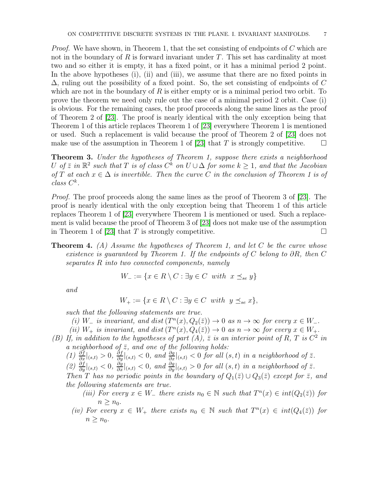*Proof.* We have shown, in Theorem 1, that the set consisting of endpoints of  $C$  which are not in the boundary of  $R$  is forward invariant under  $T$ . This set has cardinality at most two and so either it is empty, it has a fixed point, or it has a minimal period 2 point. In the above hypotheses (i), (ii) and (iii), we assume that there are no fixed points in  $\Delta$ , ruling out the possibility of a fixed point. So, the set consisting of endpoints of C which are not in the boundary of  $R$  is either empty or is a minimal period two orbit. To prove the theorem we need only rule out the case of a minimal period 2 orbit. Case (i) is obvious. For the remaining cases, the proof proceeds along the same lines as the proof of Theorem 2 of [\[23\]](#page-17-4). The proof is nearly identical with the only exception being that Theorem 1 of this article replaces Theorem 1 of [\[23\]](#page-17-4) everywhere Theorem 1 is mentioned or used. Such a replacement is valid because the proof of Theorem 2 of [\[23\]](#page-17-4) does not make use of the assumption in Theorem 1 of [\[23\]](#page-17-4) that T is strongly competitive.  $\square$ 

Theorem 3. Under the hypotheses of Theorem 1, suppose there exists a neighborhood U of  $\overline{z}$  in  $\mathbb{R}^2$  such that T is of class  $C^k$  on  $U \cup \Delta$  for some  $k \geq 1$ , and that the Jacobian of T at each  $x \in \Delta$  is invertible. Then the curve C in the conclusion of Theorem 1 is of  $class C^k$ .

Proof. The proof proceeds along the same lines as the proof of Theorem 3 of [\[23\]](#page-17-4). The proof is nearly identical with the only exception being that Theorem 1 of this article replaces Theorem 1 of [\[23\]](#page-17-4) everywhere Theorem 1 is mentioned or used. Such a replacement is valid because the proof of Theorem 3 of [\[23\]](#page-17-4) does not make use of the assumption in Theorem 1 of [\[23\]](#page-17-4) that T is strongly competitive.

# **Theorem 4.** (A) Assume the hypotheses of Theorem 1, and let C be the curve whose existence is guaranteed by Theorem 1. If the endpoints of C belong to  $\partial R$ , then C separates R into two connected components, namely

$$
W_{-} := \{ x \in R \setminus C : \exists y \in C \text{ with } x \preceq_{se} y \}
$$

and

$$
W_+ := \{ x \in R \setminus C : \exists y \in C \text{ with } y \leq_{se} x \},
$$

such that the following statements are true.

- (i)  $W_-\;$  is invariant, and dist  $(T^n(x), Q_2(\bar{z})) \to 0$  as  $n \to \infty$  for every  $x \in W_-\$ .
- (ii)  $W_+$  is invariant, and dist $(T^n(x), Q_4(\bar{z})) \to 0$  as  $n \to \infty$  for every  $x \in W_+$ .
- (B) If, in addition to the hypotheses of part  $(A)$ ,  $\overline{z}$  is an interior point of R, T is  $C^2$  in a neighborhood of  $\bar{z}$ , and one of the following holds:
	- $(1) \frac{\partial f}{\partial x}|_{(s,t)} > 0, \frac{\partial f}{\partial y}|_{(s,t)} < 0, \text{ and } \frac{\partial g}{\partial x}|_{(s,t)} < 0 \text{ for all } (s,t) \text{ in a neighborhood of } \overline{z}.$
	- $(2)$   $\frac{\partial f}{\partial y}|_{(s,t)} < 0$ ,  $\frac{\partial g}{\partial x}|_{(s,t)} < 0$ , and  $\frac{\partial g}{\partial y}|_{(s,t)} > 0$  for all  $(s,t)$  in a neighborhood of  $\overline{z}$ .
	- Then T has no periodic points in the boundary of  $Q_1(\bar{z}) \cup Q_3(\bar{z})$  except for  $\bar{z}$ , and the following statements are true.
		- (iii) For every  $x \in W_-\$  there exists  $n_0 \in \mathbb{N}$  such that  $T^n(x) \in int(Q_2(\overline{z}))$  for  $n > n_0$ .
		- (iv) For every  $x \in W_+$  there exists  $n_0 \in \mathbb{N}$  such that  $T^n(x) \in int(Q_4(\bar{z}))$  for  $n \geq n_0$ .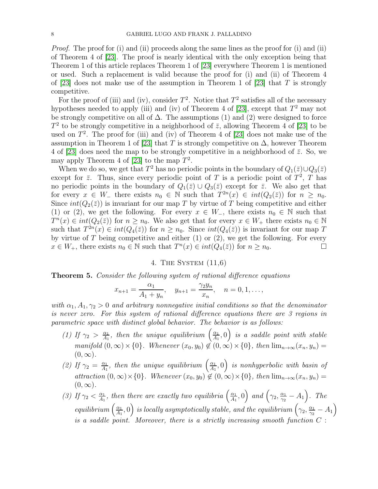*Proof.* The proof for (i) and (ii) proceeds along the same lines as the proof for (i) and (ii) of Theorem 4 of [\[23\]](#page-17-4). The proof is nearly identical with the only exception being that Theorem 1 of this article replaces Theorem 1 of [\[23\]](#page-17-4) everywhere Theorem 1 is mentioned or used. Such a replacement is valid because the proof for (i) and (ii) of Theorem 4 of [\[23\]](#page-17-4) does not make use of the assumption in Theorem 1 of [23] that T is strongly competitive.

For the proof of (iii) and (iv), consider  $T^2$ . Notice that  $T^2$  satisfies all of the necessary hypotheses needed to apply (iii) and (iv) of Theorem 4 of [\[23\]](#page-17-4), except that  $T^2$  may not be strongly competitive on all of  $\Delta$ . The assumptions (1) and (2) were designed to force  $T^2$  to be strongly competitive in a neighborhood of  $\bar{z}$ , allowing Theorem 4 of [\[23\]](#page-17-4) to be used on  $T^2$ . The proof for (iii) and (iv) of Theorem 4 of [\[23\]](#page-17-4) does not make use of the assumption in Theorem 1 of [\[23\]](#page-17-4) that T is strongly competitive on  $\Delta$ , however Theorem 4 of [\[23\]](#page-17-4) does need the map to be strongly competitive in a neighborhood of  $\bar{z}$ . So, we may apply Theorem 4 of [\[23\]](#page-17-4) to the map  $T^2$ .

When we do so, we get that  $T^2$  has no periodic points in the boundary of  $Q_1(\bar{z}) \cup Q_3(\bar{z})$ except for  $\bar{z}$ . Thus, since every periodic point of T is a periodic point of  $T^2$ , T has no periodic points in the boundary of  $Q_1(\bar{z}) \cup Q_3(\bar{z})$  except for  $\bar{z}$ . We also get that for every  $x \in W_-\$  there exists  $n_0 \in \mathbb{N}$  such that  $T^{2n}(x) \in int(Q_2(\bar{z}))$  for  $n \geq n_0$ . Since  $int(Q_2(\bar{z}))$  is invariant for our map T by virtue of T being competitive and either (1) or (2), we get the following. For every  $x \in W_-\$ , there exists  $n_0 \in \mathbb{N}$  such that  $T^n(x) \in int(Q_2(\bar{z}))$  for  $n \geq n_0$ . We also get that for every  $x \in W_+$  there exists  $n_0 \in \mathbb{N}$ such that  $T^{2n}(x) \in int(Q_4(\bar{z}))$  for  $n \geq n_0$ . Since  $int(Q_4(\bar{z}))$  is invariant for our map T by virtue of  $T$  being competitive and either  $(1)$  or  $(2)$ , we get the following. For every  $x \in W_+$ , there exists  $n_0 \in \mathbb{N}$  such that  $T^n(x) \in int(Q_4(\bar{z}))$  for  $n \ge n_0$ .

# 4. The System (11,6)

## Theorem 5. Consider the following system of rational difference equations

$$
x_{n+1} = \frac{\alpha_1}{A_1 + y_n}, \quad y_{n+1} = \frac{\gamma_2 y_n}{x_n}, \quad n = 0, 1, \ldots,
$$

with  $\alpha_1, A_1, \gamma_2 > 0$  and arbitrary nonnegative initial conditions so that the denominator is never zero. For this system of rational difference equations there are 3 regions in parametric space with distinct global behavior. The behavior is as follows:

- (1) If  $\gamma_2 > \frac{\alpha_1}{A_1}$  $\frac{\alpha_1}{A_1}$ , then the unique equilibrium  $\left(\frac{\alpha_1}{A_1}\right)$  $\left(\frac{\alpha_1}{A_1},0\right)$  is a saddle point with stable  $manifold (0, \infty) \times \{0\}$ . Whenever  $(x_0, y_0) \notin (0, \infty) \times \{0\}$ , then  $\lim_{n\to\infty} (x_n, y_n) =$  $(0, \infty)$ .
- (2) If  $\gamma_2 = \frac{\alpha_1}{A_1}$  $\frac{\alpha_1}{A_1}$ , then the unique equilibrium  $\left(\frac{\alpha_1}{A_1}\right)$  $\left(\frac{\alpha_1}{A_1},0\right)$  is nonhyperbolic with basin of attraction  $(0, \infty) \times \{0\}$ . Whenever  $(x_0, y_0) \notin (0, \infty) \times \{0\}$ , then  $\lim_{n\to\infty} (x_n, y_n) =$  $(0, \infty)$ .
- (3) If  $\gamma_2 < \frac{\alpha_1}{A_1}$  $\frac{\alpha_1}{A_1}$ , then there are exactly two equilibria  $\left(\frac{\alpha_1}{A_1}\right)$  $\left(\frac{\alpha_1}{A_1},0\right)$  and  $\left(\gamma_2,\frac{\alpha_1}{\gamma_2}\right)$  $\frac{\alpha_1}{\gamma_2}-A_1$ ). The equilibrium  $\left(\frac{\alpha_1}{4_1}\right)$  $\left(\frac{\alpha_1}{A_1},0\right)$  is locally asymptotically stable, and the equilibrium  $\left(\gamma_2,\frac{\alpha_1}{\gamma_2}\right)$  $\frac{\alpha_1}{\gamma_2} - A_1$ is a saddle point. Moreover, there is a strictly increasing smooth function  $C$ :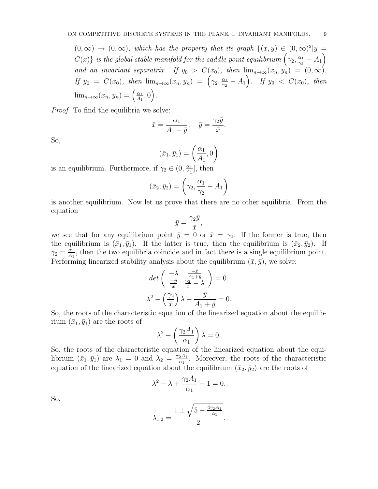$(0,\infty) \rightarrow (0,\infty)$ , which has the property that its graph  $\{(x,y) \in (0,\infty)^2 | y =$  $C(x)\}$  is the global stable manifold for the saddle point equilibrium  $\left(\gamma_2,\frac{\alpha_1}{\gamma_2}\right)$  $\frac{\alpha_1}{\gamma_2} - A_1$ and an invariant separatrix. If  $y_0 > C(x_0)$ , then  $\lim_{n\to\infty} (x_n, y_n) = (0, \infty)$ . If  $y_0 = C(x_0)$ , then  $\lim_{n\to\infty} (x_n, y_n) = \left( \gamma_2, \frac{\alpha_1}{\gamma_2} \right)$  $\frac{\alpha_1}{\gamma_2} - A_1$ ). If  $y_0 < C(x_0)$ , then  $\lim_{n\to\infty}(x_n,y_n)=\left(\frac{\alpha_1}{A_1}\right)$  $\frac{\alpha_1}{A_1}, 0\Big).$ 

Proof. To find the equilibria we solve:

$$
\bar{x} = \frac{\alpha_1}{A_1 + \bar{y}}, \quad \bar{y} = \frac{\gamma_2 \bar{y}}{\bar{x}}.
$$

So,

$$
(\bar{x}_1, \bar{y}_1) = \left(\frac{\alpha_1}{A_1}, 0\right)
$$
  
 
$$
\alpha \in (0, \frac{\alpha_1}{A_1} \text{ then } \alpha_1
$$

is an equilibrium. Furthermore, if  $\gamma_2 \in (0, \frac{\alpha_1}{A_1})$  $\frac{\alpha_1}{A_1}$ , then

$$
(\bar{x}_2, \bar{y}_2) = \left(\gamma_2, \frac{\alpha_1}{\gamma_2} - A_1\right)
$$

is another equilibrium. Now let us prove that there are no other equilibria. From the equation

$$
\bar{y} = \frac{\gamma_2 \bar{y}}{\bar{x}},
$$

we see that for any equilibrium point  $\bar{y}=0$  or  $\bar{x}=\gamma_2$ . If the former is true, then the equilibrium is  $(\bar{x}_1, \bar{y}_1)$ . If the latter is true, then the equilibrium is  $(\bar{x}_2, \bar{y}_2)$ . If  $\gamma_2 = \frac{\alpha_1}{A_1}$  $\frac{\alpha_1}{A_1}$ , then the two equilibria coincide and in fact there is a single equilibrium point. Performing linearized stability analysis about the equilibrium  $(\bar{x}, \bar{y})$ , we solve:

$$
\det\left(\begin{array}{cc} -\lambda & \frac{-\bar{x}}{A_1+\bar{y}}\\ \frac{-\bar{y}}{\bar{x}} & \frac{\gamma_2}{\bar{x}}-\lambda \end{array}\right) = 0.
$$

$$
\lambda^2 - \left(\frac{\gamma_2}{\bar{x}}\right)\lambda - \frac{\bar{y}}{A_1+\bar{y}} = 0.
$$

So, the roots of the characteristic equation of the linearized equation about the equilibrium  $(\bar{x}_1, \bar{y}_1)$  are the roots of

$$
\lambda^2 - \left(\frac{\gamma_2 A_1}{\alpha_1}\right) \lambda = 0.
$$

So, the roots of the characteristic equation of the linearized equation about the equilibrium  $(\bar{x}_1, \bar{y}_1)$  are  $\lambda_1 = 0$  and  $\lambda_2 = \frac{\gamma_2 A_1}{\gamma_1}$  $\frac{2A_1}{\alpha_1}$ . Moreover, the roots of the characteristic equation of the linearized equation about the equilibrium  $(\bar{x}_2, \bar{y}_2)$  are the roots of

$$
\lambda^2 - \lambda + \frac{\gamma_2 A_1}{\alpha_1} - 1 = 0.
$$

So,

$$
\lambda_{1,2} = \frac{1 \pm \sqrt{5 - \frac{4\gamma_2 A_1}{\alpha_1}}}{2}.
$$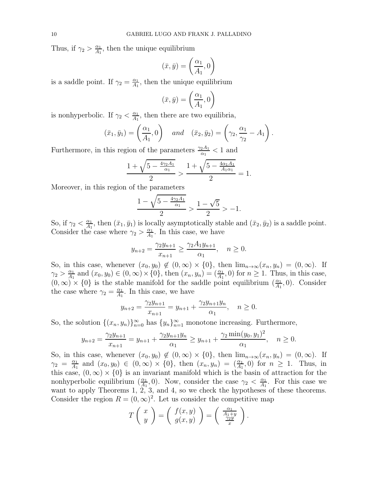Thus, if  $\gamma_2 > \frac{\alpha_1}{A_1}$  $\frac{\alpha_1}{A_1}$ , then the unique equilibrium

$$
(\bar{x}, \bar{y}) = \left(\frac{\alpha_1}{A_1}, 0\right)
$$

is a saddle point. If  $\gamma_2 = \frac{\alpha_1}{A_1}$  $\frac{\alpha_1}{A_1}$ , then the unique equilibrium

$$
(\bar{x}, \bar{y}) = \left(\frac{\alpha_1}{A_1}, 0\right)
$$

is nonhyperbolic. If  $\gamma_2 < \frac{\alpha_1}{A_1}$  $\frac{\alpha_1}{A_1}$ , then there are two equilibria,

$$
(\bar{x}_1, \bar{y}_1) = \left(\frac{\alpha_1}{A_1}, 0\right)
$$
 and  $(\bar{x}_2, \bar{y}_2) = \left(\gamma_2, \frac{\alpha_1}{\gamma_2} - A_1\right)$ .

Furthermore, in this region of the parameters  $\frac{\gamma_2 A_1}{\alpha_1} < 1$  and

$$
\frac{1 + \sqrt{5 - \frac{4\gamma_2 A_1}{\alpha_1}}}{2} > \frac{1 + \sqrt{5 - \frac{4\alpha_1 A_1}{A_1 \alpha_1}}}{2} = 1.
$$

Moreover, in this region of the parameters

$$
\frac{1 - \sqrt{5 - \frac{4\gamma_2 A_1}{\alpha_1}}}{2} > \frac{1 - \sqrt{5}}{2} > -1.
$$

So, if  $\gamma_2 < \frac{\alpha_1}{A_1}$  $\frac{\alpha_1}{A_1}$ , then  $(\bar{x}_1, \bar{y}_1)$  is locally asymptotically stable and  $(\bar{x}_2, \bar{y}_2)$  is a saddle point. Consider the case where  $\gamma_2 > \frac{\alpha_1}{4}$  $\frac{\alpha_1}{A_1}$ . In this case, we have

$$
y_{n+2} = \frac{\gamma_2 y_{n+1}}{x_{n+1}} \ge \frac{\gamma_2 A_1 y_{n+1}}{\alpha_1}, \quad n \ge 0.
$$

So, in this case, whenever  $(x_0, y_0) \notin (0, \infty) \times \{0\}$ , then  $\lim_{n\to\infty} (x_n, y_n) = (0, \infty)$ . If  $\gamma_2 > \frac{\alpha_1}{A_1}$  $\frac{\alpha_1}{A_1}$  and  $(x_0, y_0) \in (0, \infty) \times \{0\}$ , then  $(x_n, y_n) = \left(\frac{\alpha_1}{A_1}, 0\right)$  for  $n \ge 1$ . Thus, in this case,  $(0, \infty) \times \{0\}$  is the stable manifold for the saddle point equilibrium  $(\frac{\alpha_1}{A_1})$  $\frac{\alpha_1}{A_1}$ , 0). Consider the case where  $\gamma_2 = \frac{\alpha_1}{A_1}$  $\frac{\alpha_1}{A_1}$ . In this case, we have

$$
y_{n+2} = \frac{\gamma_2 y_{n+1}}{x_{n+1}} = y_{n+1} + \frac{\gamma_2 y_{n+1} y_n}{\alpha_1}, \quad n \ge 0.
$$

So, the solution  $\{(x_n, y_n)\}_{n=0}^{\infty}$  has  $\{y_n\}_{n=1}^{\infty}$  monotone increasing. Furthermore,

$$
y_{n+2} = \frac{\gamma_2 y_{n+1}}{x_{n+1}} = y_{n+1} + \frac{\gamma_2 y_{n+1} y_n}{\alpha_1} \ge y_{n+1} + \frac{\gamma_2 \min(y_0, y_1)^2}{\alpha_1}, \quad n \ge 0.
$$

So, in this case, whenever  $(x_0, y_0) \notin (0, \infty) \times \{0\}$ , then  $\lim_{n\to\infty} (x_n, y_n) = (0, \infty)$ . If  $\gamma_2 = \frac{\alpha_1}{A_1}$  $\frac{\alpha_1}{A_1}$  and  $(x_0, y_0) \in (0, \infty) \times \{0\}$ , then  $(x_n, y_n) = (\frac{\alpha_1}{A_1}, 0)$  for  $n \ge 1$ . Thus, in this case,  $(0, \infty) \times \{0\}$  is an invariant manifold which is the basin of attraction for the nonhyperbolic equilibrium  $\left(\frac{\alpha_1}{4_1}\right)$  $\frac{\alpha_1}{A_1}$ , 0). Now, consider the case  $\gamma_2 < \frac{\alpha_1}{A_1}$  $\frac{\alpha_1}{A_1}$ . For this case we want to apply Theorems 1, 2, 3, and 4, so we check the hypotheses of these theorems. Consider the region  $R = (0, \infty)^2$ . Let us consider the competitive map

$$
T\left(\begin{array}{c}x\\y\end{array}\right)=\left(\begin{array}{c}f(x,y)\\g(x,y)\end{array}\right)=\left(\begin{array}{c}\frac{\alpha_1}{A_1+y}\\ \frac{\gamma_2y}{x}\end{array}\right).
$$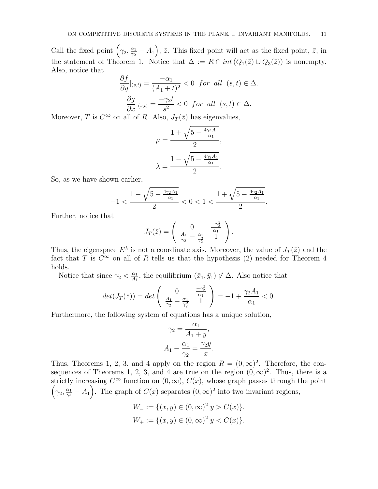Call the fixed point  $(\gamma_2, \frac{\alpha_1}{\gamma_2})$  $(\frac{\alpha_1}{\gamma_2} - A_1)$ ,  $\bar{z}$ . This fixed point will act as the fixed point,  $\bar{z}$ , in the statement of Theorem 1. Notice that  $\Delta := R \cap int(Q_1(\bar{z}) \cup Q_3(\bar{z}))$  is nonempty. Also, notice that

$$
\frac{\partial f}{\partial y}|_{(s,t)} = \frac{-\alpha_1}{(A_1 + t)^2} < 0 \quad \text{for all} \quad (s,t) \in \Delta.
$$
\n
$$
\frac{\partial g}{\partial x}|_{(s,t)} = \frac{-\gamma_2 t}{s^2} < 0 \quad \text{for all} \quad (s,t) \in \Delta.
$$

Moreover, T is  $C^{\infty}$  on all of R. Also,  $J_T(\bar{z})$  has eigenvalues,

$$
\mu = \frac{1 + \sqrt{5 - \frac{4\gamma_2 A_1}{\alpha_1}}}{2},
$$

$$
\lambda = \frac{1 - \sqrt{5 - \frac{4\gamma_2 A_1}{\alpha_1}}}{2}.
$$

So, as we have shown earlier,

$$
-1 < \frac{1-\sqrt{5-\frac{4\gamma_2 A_1}{\alpha_1}}}{2} < 0 < 1 < \frac{1+\sqrt{5-\frac{4\gamma_2 A_1}{\alpha_1}}}{2}
$$

.

Further, notice that

$$
J_T(\bar{z}) = \begin{pmatrix} 0 & \frac{-\gamma_2^2}{\alpha_1} \\ \frac{A_1}{\gamma_2} - \frac{\alpha_1}{\gamma_2^2} & 1 \end{pmatrix}.
$$

Thus, the eigenspace  $E^{\lambda}$  is not a coordinate axis. Moreover, the value of  $J_T(\bar{z})$  and the fact that T is  $C^{\infty}$  on all of R tells us that the hypothesis (2) needed for Theorem 4 holds.

Notice that since  $\gamma_2 < \frac{\alpha_1}{A_1}$  $\frac{\alpha_1}{A_1}$ , the equilibrium  $(\bar{x}_1, \bar{y}_1) \notin \Delta$ . Also notice that

$$
det(J_T(\bar{z})) = det\begin{pmatrix} 0 & \frac{-\gamma_2^2}{\alpha_1} \\ \frac{A_1}{\gamma_2} - \frac{\alpha_1}{\gamma_2^2} & 1 \end{pmatrix} = -1 + \frac{\gamma_2 A_1}{\alpha_1} < 0.
$$

Furthermore, the following system of equations has a unique solution,

$$
\gamma_2 = \frac{\alpha_1}{A_1 + y},
$$

$$
A_1 - \frac{\alpha_1}{\gamma_2} = \frac{\gamma_2 y}{x}.
$$

Thus, Theorems 1, 2, 3, and 4 apply on the region  $R = (0, \infty)^2$ . Therefore, the consequences of Theorems 1, 2, 3, and 4 are true on the region  $(0, \infty)^2$ . Thus, there is a strictly increasing  $C^{\infty}$  function on  $(0, \infty)$ ,  $C(x)$ , whose graph passes through the point  $\left(\gamma_2,\frac{\alpha_1}{\gamma_2}\right)$  $\frac{\alpha_1}{\gamma_2} - A_1$ ). The graph of  $C(x)$  separates  $(0, \infty)^2$  into two invariant regions,

$$
W_{-} := \{(x, y) \in (0, \infty)^2 | y > C(x) \}.
$$
  

$$
W_{+} := \{(x, y) \in (0, \infty)^2 | y < C(x) \}.
$$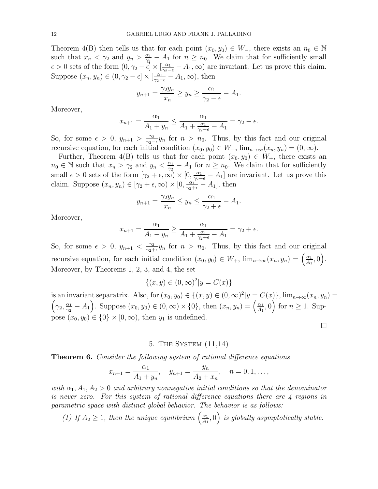Theorem 4(B) then tells us that for each point  $(x_0, y_0) \in W_-\$ , there exists an  $n_0 \in \mathbb{N}$ such that  $x_n < \gamma_2$  and  $y_n > \frac{\alpha_1}{\gamma_2}$  $\frac{\alpha_1}{\gamma_2} - A_1$  for  $n \geq n_0$ . We claim that for sufficiently small  $\epsilon > 0$  sets of the form  $(0, \gamma_2 - \epsilon] \times [\frac{\alpha_1}{\gamma_2 - \epsilon} - A_1, \infty)$  are invariant. Let us prove this claim. Suppose  $(x_n, y_n) \in (0, \gamma_2 - \epsilon] \times [\frac{\alpha_1}{\gamma_2 - \epsilon} - A_1, \infty)$ , then

$$
y_{n+1} = \frac{\gamma_2 y_n}{x_n} \ge y_n \ge \frac{\alpha_1}{\gamma_2 - \epsilon} - A_1.
$$

Moreover,

$$
x_{n+1} = \frac{\alpha_1}{A_1 + y_n} \le \frac{\alpha_1}{A_1 + \frac{\alpha_1}{\gamma_2 - \epsilon} - A_1} = \gamma_2 - \epsilon.
$$

So, for some  $\epsilon > 0$ ,  $y_{n+1} > \frac{\gamma_2}{\gamma_2 - \epsilon} y_n$  for  $n > n_0$ . Thus, by this fact and our original recursive equation, for each initial condition  $(x_0, y_0) \in W_-\$ ,  $\lim_{n\to\infty} (x_n, y_n) = (0, \infty)$ .

Further, Theorem 4(B) tells us that for each point  $(x_0, y_0) \in W_+$ , there exists an  $n_0 \in \mathbb{N}$  such that  $x_n > \gamma_2$  and  $y_n < \frac{\alpha_1}{\gamma_2}$  $\frac{\alpha_1}{\gamma_2} - A_1$  for  $n \geq n_0$ . We claim that for sufficiently small  $\epsilon > 0$  sets of the form  $[\gamma_2 + \epsilon, \infty) \times [0, \frac{\alpha_1}{\gamma_2 + \epsilon} - A_1]$  are invariant. Let us prove this claim. Suppose  $(x_n, y_n) \in [\gamma_2 + \epsilon, \infty) \times [0, \frac{\alpha_1}{\gamma_2 + \epsilon} - A_1]$ , then

$$
y_{n+1} = \frac{\gamma_2 y_n}{x_n} \le y_n \le \frac{\alpha_1}{\gamma_2 + \epsilon} - A_1.
$$

Moreover,

$$
x_{n+1} = \frac{\alpha_1}{A_1 + y_n} \ge \frac{\alpha_1}{A_1 + \frac{\alpha_1}{\gamma_2 + \epsilon} - A_1} = \gamma_2 + \epsilon.
$$

So, for some  $\epsilon > 0$ ,  $y_{n+1} < \frac{\gamma_2}{\gamma_2 + \gamma_1}$  $\frac{\gamma_2}{\gamma_2+\epsilon}y_n$  for  $n > n_0$ . Thus, by this fact and our original recursive equation, for each initial condition  $(x_0, y_0) \in W_+$ ,  $\lim_{n\to\infty} (x_n, y_n) = \left(\frac{\alpha_1}{A_1}\right)$  $\frac{\alpha_1}{A_1}, 0$ . Moreover, by Theorems 1, 2, 3, and 4, the set

$$
\{(x, y) \in (0, \infty)^2 | y = C(x) \}
$$

is an invariant separatrix. Also, for  $(x_0, y_0) \in \{(x, y) \in (0, \infty)^2\}$  $\sqrt{ }$  $|y = C(x)\}, \lim_{n \to \infty} (x_n, y_n) =$  $\gamma_2, \frac{\alpha_1}{\gamma_2}$  $(\frac{\alpha_1}{\gamma_2} - A_1)$ . Suppose  $(x_0, y_0) \in (0, \infty) \times \{0\}$ , then  $(x_n, y_n) = (\frac{\alpha_1}{A_1})$  $\left(\frac{\alpha_1}{A_1}, 0\right)$  for  $n \geq 1$ . Suppose  $(x_0, y_0) \in \{0\} \times [0, \infty)$ , then  $y_1$  is undefined.

 $\Box$ 

## 5. The System (11,14)

**Theorem 6.** Consider the following system of rational difference equations

$$
x_{n+1} = \frac{\alpha_1}{A_1 + y_n}, \quad y_{n+1} = \frac{y_n}{A_2 + x_n}, \quad n = 0, 1, \dots,
$$

with  $\alpha_1, A_1, A_2 > 0$  and arbitrary nonnegative initial conditions so that the denominator is never zero. For this system of rational difference equations there are  $\lambda$  regions in parametric space with distinct global behavior. The behavior is as follows:

(1) If  $A_2 \geq 1$ , then the unique equilibrium  $\left(\frac{\alpha_1}{A_1}\right)$  $\left(\frac{\alpha_1}{A_1},0\right)$  is globally asymptotically stable.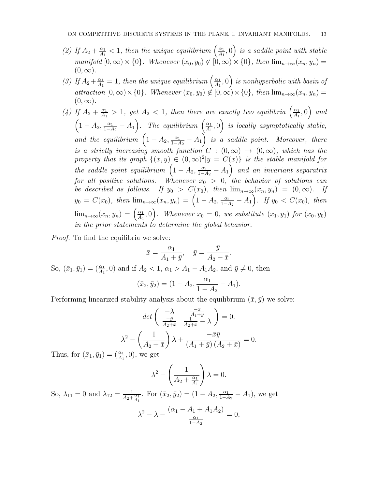- (2) If  $A_2 + \frac{\alpha_1}{A_1}$  $\frac{\alpha_1}{A_1} < 1$ , then the unique equilibrium  $\left(\frac{\alpha_1}{A_1}\right)$  $\left(\frac{\alpha_1}{A_1},0\right)$  is a saddle point with stable manifold  $[0, \infty) \times \{0\}$ . Whenever  $(x_0, y_0) \notin [0, \infty) \times \{0\}$ , then  $\lim_{n\to\infty} (x_n, y_n) =$  $(0, \infty)$ .
- (3) If  $A_2 + \frac{\alpha_1}{A_1}$  $\frac{\alpha_1}{A_1} = 1$ , then the unique equilibrium  $\left(\frac{\alpha_1}{A_1}\right)$  $\left(\frac{\alpha_{1}}{A_{1}},0\right)$  is nonhyperbolic with basin of attraction  $[0, \infty) \times \{0\}$ . Whenever  $(x_0, y_0) \notin [0, \infty) \times \{0\}$ , then  $\lim_{n \to \infty} (x_n, y_n) =$  $(0, \infty)$ .
- (4) If  $A_2 + \frac{\alpha_1}{A_1}$  $\frac{\alpha_1}{A_1} > 1$ , yet  $A_2 < 1$ , then there are exactly two equilibria  $\left(\frac{\alpha_1}{A_1}\right)$  $\left(\frac{\alpha_1}{A_1},0\right)$  and  $\left(1-A_2, \frac{\alpha_1}{1-A_2}-A_1\right)$ . The equilibrium  $\left(\frac{\alpha_1}{A_1}\right)$  $\left( \frac{\alpha_1}{A_1},0\right)$  is locally asymptotically stable, and the equilibrium  $(1-A_2, \frac{\alpha_1}{1-A_2}-A_1)$  is a saddle point. Moreover, there is a strictly increasing smooth function  $C : (0, \infty) \to (0, \infty)$ , which has the property that its graph  $\{(x, y) \in (0, \infty)^2 | y = C(x) \}$  is the stable manifold for the saddle point equilibrium  $\left(1-A_2, \frac{\alpha_1}{1-A_2}-A_1\right)$  and an invariant separatrix for all positive solutions. Whenever  $x_0 > 0$ , the behavior of solutions can be described as follows. If  $y_0 > C(x_0)$ , then  $\lim_{n\to\infty} (x_n, y_n) = (0, \infty)$ . If  $y_0 = C(x_0)$ , then  $\lim_{n \to \infty} (x_n, y_n) = (1 - A_2, \frac{\alpha_1}{1 - A_2} - A_1)$ . If  $y_0 < C(x_0)$ , then  $\lim_{n\to\infty}(x_n,y_n)=\left(\frac{\alpha_1}{A_1}\right)$  $\left(\frac{\alpha_1}{A_1},0\right)$ . Whenever  $x_0=0$ , we substitute  $(x_1,y_1)$  for  $(x_0,y_0)$ in the prior statements to determine the global behavior.

Proof. To find the equilibria we solve:

$$
\bar{x} = \frac{\alpha_1}{A_1 + \bar{y}}, \quad \bar{y} = \frac{\bar{y}}{A_2 + \bar{x}}.
$$

So,  $(\bar{x}_1, \bar{y}_1) = (\frac{\alpha_1}{A_1}, 0)$  and if  $A_2 < 1$ ,  $\alpha_1 > A_1 - A_1 A_2$ , and  $\bar{y} \neq 0$ , then

$$
(\bar{x}_2, \bar{y}_2) = (1 - A_2, \frac{\alpha_1}{1 - A_2} - A_1).
$$

Performing linearized stability analysis about the equilibrium  $(\bar{x}, \bar{y})$  we solve:

$$
\det\left(\begin{array}{cc} -\lambda & \frac{-\bar{x}}{A_1+\bar{y}}\\ \frac{-\bar{y}}{A_2+\bar{x}} & \frac{1}{A_2+\bar{x}} - \lambda \end{array}\right) = 0.
$$

$$
\lambda^2 - \left(\frac{1}{A_2+\bar{x}}\right)\lambda + \frac{-\bar{x}\bar{y}}{(A_1+\bar{y})(A_2+\bar{x})} = 0.
$$

Thus, for  $(\bar{x}_1, \bar{y}_1) = (\frac{\alpha_1}{A_1}, 0)$ , we get

$$
\lambda^2 - \left(\frac{1}{A_2 + \frac{\alpha_1}{A_1}}\right)\lambda = 0.
$$

So,  $\lambda_{11} = 0$  and  $\lambda_{12} = \frac{1}{4a+1}$  $\frac{1}{A_2 + \frac{\alpha_1}{A_1}}$ . For  $(\bar{x}_2, \bar{y}_2) = (1 - A_2, \frac{\alpha_1}{1 - A_2} - A_1)$ , we get

$$
\lambda^{2} - \lambda - \frac{(\alpha_{1} - A_{1} + A_{1}A_{2})}{\frac{\alpha_{1}}{1 - A_{2}}} = 0,
$$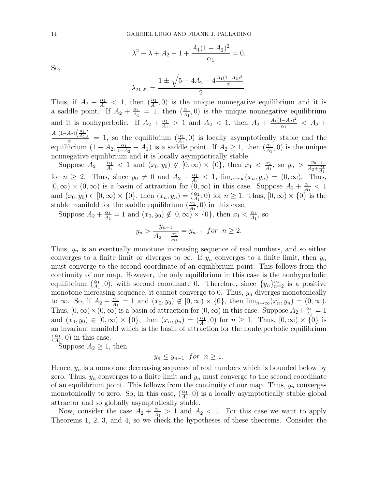$$
\lambda^{2} - \lambda + A_{2} - 1 + \frac{A_{1}(1 - A_{2})^{2}}{\alpha_{1}} = 0.
$$

So,

$$
\lambda_{21,22} = \frac{1 \pm \sqrt{5 - 4A_2 - 4\frac{A_1(1 - A_2)^2}{\alpha_1}}}{2}.
$$

Thus, if  $A_2 + \frac{\alpha_1}{A_1}$  $\frac{\alpha_1}{A_1}$  < 1, then  $\left(\frac{\alpha_1}{A_1}\right)$  $\frac{\alpha_1}{A_1}$ , 0) is the unique nonnegative equilibrium and it is a saddle point. If  $A_2 + \frac{\alpha_1}{A_1}$  $\frac{\alpha_1}{A_1} = 1$ , then  $\left(\frac{\alpha_1}{A_1}\right)$  $\frac{\alpha_1}{A_1}$ , 0) is the unique nonnegative equilibrium and it is nonhyperbolic. If  $A_2 + \frac{\alpha_1}{A_1}$  $\frac{\alpha_1}{A_1} > 1$  and  $A_2 < 1$ , then  $A_2 + \frac{A_1(1-A_2)}{\alpha_1}$  $\frac{(-A_2)^2}{\alpha_1} < A_2 +$  $A_1(1-A_2)\left(\frac{\alpha_1}{A_1}\right)$  $\frac{\alpha_2}{\alpha_1}$  = 1, so the equilibrium  $\left(\frac{\alpha_1}{A_1}\right)$  $\frac{\alpha_1}{A_1}$ , 0) is locally asymptotically stable and the equilibrium  $(1 - A_2, \frac{\alpha_1}{1 - A_2} - A_1)$  is a saddle point. If  $A_2 \ge 1$ , then  $(\frac{\alpha_1}{A_1})$  $\frac{\alpha_1}{A_1}$ , 0) is the unique nonnegative equilibrium and it is locally asymptotically stable.

Suppose  $A_2 + \frac{\alpha_1}{A_1}$  $\frac{\alpha_1}{A_1}$  < 1 and  $(x_0, y_0) \notin [0, \infty) \times \{0\}$ , then  $x_1 < \frac{\alpha_1}{A_1}$  $\frac{\alpha_1}{A_1}$ , so  $y_n > \frac{y_{n-1}}{A_2 + \frac{\alpha}{4}}$  $\frac{3n}{A_2 + \frac{\alpha_1}{A_1}}$ for  $n \geq 2$ . Thus, since  $y_0 \neq 0$  and  $A_2 + \frac{\alpha_1}{A_1}$  $\frac{\alpha_1}{A_1}$  < 1,  $\lim_{n\to\infty}$  $(x_n, y_n)$  =  $(0, \infty)$ . Thus,  $[0, \infty) \times (0, \infty)$  is a basin of attraction for  $(0, \infty)$  in this case. Suppose  $A_2 + \frac{\alpha_1}{A_1}$  $\frac{\alpha_1}{A_1} < 1$ and  $(x_0, y_0) \in [0, \infty) \times \{0\}$ , then  $(x_n, y_n) = (\frac{\alpha_1}{A_1}, 0)$  for  $n \ge 1$ . Thus,  $[0, \infty) \times \{0\}$  is the stable manifold for the saddle equilibrium  $\left(\frac{\alpha_1}{4!}\right)$  $\frac{\alpha_1}{A_1}$ , 0) in this case.

Suppose  $A_2 + \frac{\alpha_1}{A_1}$  $\frac{\alpha_1}{A_1} = 1$  and  $(x_0, y_0) \notin [0, \infty) \times \{0\}$ , then  $x_1 < \frac{\alpha_1}{A_1}$  $\frac{\alpha_1}{A_1}$ , so

$$
y_n > \frac{y_{n-1}}{A_2 + \frac{\alpha_1}{A_1}} = y_{n-1}
$$
 for  $n \ge 2$ .

Thus,  $y_n$  is an eventually monotone increasing sequence of real numbers, and so either converges to a finite limit or diverges to  $\infty$ . If  $y_n$  converges to a finite limit, then  $y_n$ must converge to the second coordinate of an equilibrium point. This follows from the continuity of our map. However, the only equilibrium in this case is the nonhyperbolic equilibrium  $\left(\frac{\alpha_1}{4}\right)$  $\frac{\alpha_1}{A_1}$ , 0), with second coordinate 0. Therefore, since  $\{y_n\}_{n=2}^{\infty}$  is a positive monotone increasing sequence, it cannot converge to 0. Thus,  $y_n$  diverges monotonically to  $\infty$ . So, if  $A_2 + \frac{\alpha_1}{A_1}$  $\frac{\alpha_1}{A_1} = 1$  and  $(x_0, y_0) \notin [0, \infty) \times \{0\}$ , then  $\lim_{n \to \infty} (x_n, y_n) = (0, \infty)$ . Thus,  $[0, \infty) \times (0, \infty)$  is a basin of attraction for  $(0, \infty)$  in this case. Suppose  $A_2 + \frac{\alpha_1}{A_1}$  $\frac{\alpha_1}{A_1}=1$ and  $(x_0, y_0) \in [0, \infty) \times \{0\}$ , then  $(x_n, y_n) = (\frac{\alpha_1}{A_1}, 0)$  for  $n \ge 1$ . Thus,  $[0, \infty) \times \{0\}$  is an invariant manifold which is the basin of attraction for the nonhyperbolic equilibrium  $\left(\frac{\alpha_1}{4}\right)$  $\frac{\alpha_1}{A_1}$ , 0) in this case.

Suppose  $A_2 \geq 1$ , then

$$
y_n \le y_{n-1} \text{ for } n \ge 1.
$$

Hence,  $y_n$  is a monotone decreasing sequence of real numbers which is bounded below by zero. Thus,  $y_n$  converges to a finite limit and  $y_n$  must converge to the second coordinate of an equilibrium point. This follows from the continuity of our map. Thus,  $y_n$  converges monotonically to zero. So, in this case,  $\left(\frac{\alpha_1}{4\alpha_2}\right)$  $\frac{\alpha_1}{A_1}$ , 0) is a locally asymptotically stable global attractor and so globally asymptotically stable.

Now, consider the case  $A_2 + \frac{\alpha_1}{A_1}$  $\frac{\alpha_1}{A_1} > 1$  and  $A_2 < 1$ . For this case we want to apply Theorems 1, 2, 3, and 4, so we check the hypotheses of these theorems. Consider the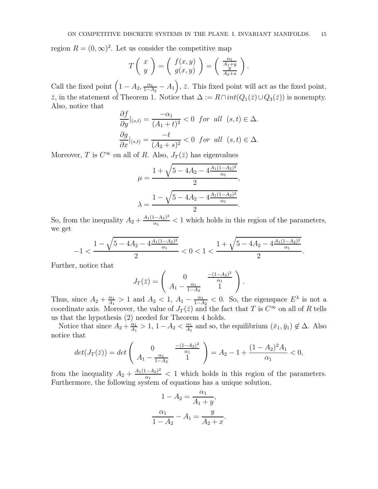region  $R = (0, \infty)^2$ . Let us consider the competitive map

$$
T\left(\begin{array}{c}x\\y\end{array}\right) = \left(\begin{array}{c}f(x,y)\\g(x,y)\end{array}\right) = \left(\begin{array}{c}\frac{\alpha_1}{A_1+y}\\ \frac{y}{A_2+x}\end{array}\right).
$$

Call the fixed point  $(1 - A_2, \frac{\alpha_1}{1 - A_2} - A_1), \overline{z}$ . This fixed point will act as the fixed point,  $\bar{z}$ , in the statement of Theorem 1. Notice that  $\Delta := R \cap int(Q_1(\bar{z}) \cup Q_3(\bar{z}))$  is nonempty. Also, notice that

$$
\frac{\partial f}{\partial y}\Big|_{(s,t)} = \frac{-\alpha_1}{(A_1+t)^2} < 0 \quad \text{for all} \quad (s,t) \in \Delta.
$$
\n
$$
\frac{\partial g}{\partial x}\Big|_{(s,t)} = \frac{-t}{(A_2+s)^2} < 0 \quad \text{for all} \quad (s,t) \in \Delta.
$$

Moreover, T is  $C^{\infty}$  on all of R. Also,  $J_T(\bar{z})$  has eigenvalues

$$
\mu = \frac{1 + \sqrt{5 - 4A_2 - 4\frac{A_1(1 - A_2)^2}{\alpha_1}}}{2},
$$

$$
\lambda = \frac{1 - \sqrt{5 - 4A_2 - 4\frac{A_1(1 - A_2)^2}{\alpha_1}}}{2}.
$$

So, from the inequality  $A_2 + \frac{A_1(1-A_2)^2}{\alpha_1}$  $\frac{(-A_2)^2}{\alpha_1}$  < 1 which holds in this region of the parameters, we get

$$
-1<\frac{1-\sqrt{5-4A_2-4\frac{A_1(1-A_2)^2}{\alpha_1}}}{2}<0<1<\frac{1+\sqrt{5-4A_2-4\frac{A_1(1-A_2)^2}{\alpha_1}}}{2}.
$$

Further, notice that

$$
J_T(\bar{z}) = \begin{pmatrix} 0 & \frac{-(1-A_2)^2}{\alpha_1} \\ A_1 - \frac{\alpha_1}{1-A_2} & 1 \end{pmatrix}.
$$

Thus, since  $A_2 + \frac{\alpha_1}{A_1}$  $\frac{\alpha_1}{A_1} > 1$  and  $A_2 < 1$ ,  $A_1 - \frac{\alpha_1}{1 - A_2} < 0$ . So, the eigenspace  $E^{\lambda}$  is not a coordinate axis. Moreover, the value of  $J_T(\bar{z})$  and the fact that T is  $C^{\infty}$  on all of R tells us that the hypothesis (2) needed for Theorem 4 holds.

Notice that since  $A_2 + \frac{\alpha_1}{A_1}$  $\frac{\alpha_1}{A_1} > 1, 1 - A_2 < \frac{\alpha_1}{A_1}$  $\frac{\alpha_1}{A_1}$  and so, the equilibrium  $(\bar{x}_1, \bar{y}_1) \notin \Delta$ . Also notice that

$$
det(J_T(\bar{z})) = det\begin{pmatrix} 0 & \frac{-(1-A_2)^2}{\alpha_1} \\ A_1 - \frac{\alpha_1}{1-A_2} & 1 \end{pmatrix} = A_2 - 1 + \frac{(1-A_2)^2 A_1}{\alpha_1} < 0,
$$

from the inequality  $A_2 + \frac{A_1(1-A_2)^2}{\alpha_1}$  $\frac{(-A_2)^2}{\alpha_1}$  < 1 which holds in this region of the parameters. Furthermore, the following system of equations has a unique solution,

$$
1 - A_2 = \frac{\alpha_1}{A_1 + y},
$$
  

$$
\frac{\alpha_1}{1 - A_2} - A_1 = \frac{y}{A_2 + x}.
$$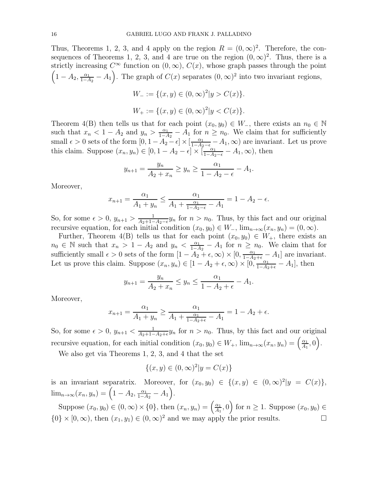Thus, Theorems 1, 2, 3, and 4 apply on the region  $R = (0, \infty)^2$ . Therefore, the consequences of Theorems 1, 2, 3, and 4 are true on the region  $(0, \infty)^2$ . Thus, there is a strictly increasing  $C^{\infty}$  function on  $(0, \infty)$ ,  $C(x)$ , whose graph passes through the point  $(1-A_2, \frac{\alpha_1}{1-A_2}-A_1)$ . The graph of  $C(x)$  separates  $(0, \infty)^2$  into two invariant regions,  $22$ 

$$
W_{-} := \{(x, y) \in (0, \infty)^{2} | y > C(x) \}.
$$
  

$$
W_{+} := \{(x, y) \in (0, \infty)^{2} | y < C(x) \}.
$$

Theorem 4(B) then tells us that for each point  $(x_0, y_0) \in W_-\$ , there exists an  $n_0 \in \mathbb{N}$ such that  $x_n < 1 - A_2$  and  $y_n > \frac{\alpha_1}{1 - A_2} - A_1$  for  $n \ge n_0$ . We claim that for sufficiently small  $\epsilon > 0$  sets of the form  $[0, 1 - A_2 - \epsilon] \times \left[\frac{\alpha_1}{1 - A_2 - \epsilon} - A_1, \infty\right)$  are invariant. Let us prove this claim. Suppose  $(x_n, y_n) \in [0, 1 - A_2 - \epsilon] \times [\frac{\alpha_1}{1 - A_2 - \epsilon} - A_1, \infty)$ , then

$$
y_{n+1} = \frac{y_n}{A_2 + x_n} \ge y_n \ge \frac{\alpha_1}{1 - A_2 - \epsilon} - A_1.
$$

Moreover,

$$
x_{n+1} = \frac{\alpha_1}{A_1 + y_n} \le \frac{\alpha_1}{A_1 + \frac{\alpha_1}{1 - A_2 - \epsilon} - A_1} = 1 - A_2 - \epsilon.
$$

So, for some  $\epsilon > 0$ ,  $y_{n+1} > \frac{1}{A_2+1-A_2-\epsilon}y_n$  for  $n > n_0$ . Thus, by this fact and our original recursive equation, for each initial condition  $(x_0, y_0) \in W_-\$ ,  $\lim_{n\to\infty} (x_n, y_n) = (0, \infty)$ .

Further, Theorem 4(B) tells us that for each point  $(x_0, y_0) \in W_+$ , there exists an  $n_0 \in \mathbb{N}$  such that  $x_n > 1 - A_2$  and  $y_n < \frac{\alpha_1}{1 - A_2} - A_1$  for  $n \ge n_0$ . We claim that for sufficiently small  $\epsilon > 0$  sets of the form  $[1 - A_2 + \epsilon, \infty) \times [0, \frac{\alpha_1}{1 - A_2 + \epsilon} - A_1]$  are invariant. Let us prove this claim. Suppose  $(x_n, y_n) \in [1 - A_2 + \epsilon, \infty) \times [0, \frac{\alpha_1}{1 - A_2 + \epsilon} - A_1]$ , then

$$
y_{n+1} = \frac{y_n}{A_2 + x_n} \le y_n \le \frac{\alpha_1}{1 - A_2 + \epsilon} - A_1.
$$

Moreover,

$$
x_{n+1} = \frac{\alpha_1}{A_1 + y_n} \ge \frac{\alpha_1}{A_1 + \frac{\alpha_1}{1 - A_2 + \epsilon} - A_1} = 1 - A_2 + \epsilon.
$$

So, for some  $\epsilon > 0$ ,  $y_{n+1} < \frac{1}{A_2+1-A_2+\epsilon} y_n$  for  $n > n_0$ . Thus, by this fact and our original recursive equation, for each initial condition  $(x_0, y_0) \in W_+$ ,  $\lim_{n \to \infty} (x_n, y_n) = \left(\frac{\alpha_1}{A_1}\right)$  $\frac{\alpha_1}{A_1}, 0\Big).$ 

We also get via Theorems 1, 2, 3, and 4 that the set

$$
\{(x, y) \in (0, \infty)^2 | y = C(x) \}
$$

is an invariant separatrix. Moreover, for  $(x_0, y_0) \in \{(x, y) \in (0, \infty)^2 | y = C(x) \},$  $\lim_{n\to\infty} (x_n, y_n) = \left(1 - A_2, \frac{\alpha_1}{1 - A_2} - A_1\right).$ 

Suppose  $(x_0, y_0) \in (0, \infty) \times \{0\}$ , then  $(x_n, y_n) = \left(\frac{\alpha_1}{A_1}\right)$  $\left(\frac{\alpha_1}{A_1}, 0\right)$  for  $n \geq 1$ . Suppose  $(x_0, y_0) \in$  $\{0\} \times [0, \infty)$ , then  $(x_1, y_1) \in (0, \infty)^2$  and we may apply the prior results.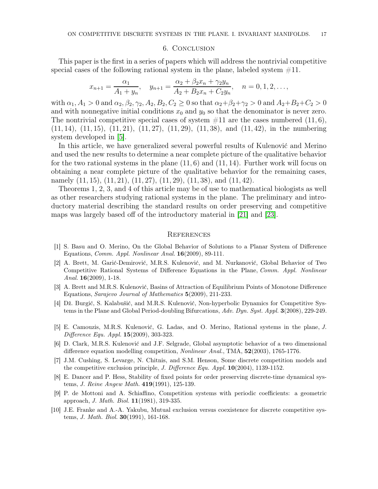#### 6. Conclusion

This paper is the first in a series of papers which will address the nontrivial competitive special cases of the following rational system in the plane, labeled system  $\#11$ .

$$
x_{n+1} = \frac{\alpha_1}{A_1 + y_n}, \quad y_{n+1} = \frac{\alpha_2 + \beta_2 x_n + \gamma_2 y_n}{A_2 + B_2 x_n + C_2 y_n}, \quad n = 0, 1, 2, \dots,
$$

with  $\alpha_1, A_1 > 0$  and  $\alpha_2, \beta_2, \gamma_2, A_2, B_2, C_2 \geq 0$  so that  $\alpha_2 + \beta_2 + \gamma_2 > 0$  and  $A_2 + B_2 + C_2 > 0$ and with nonnegative initial conditions  $x_0$  and  $y_0$  so that the denominator is never zero. The nontrivial competitive special cases of system  $\#11$  are the cases numbered  $(11, 6)$ ,  $(11, 14)$ ,  $(11, 15)$ ,  $(11, 21)$ ,  $(11, 27)$ ,  $(11, 29)$ ,  $(11, 38)$ , and  $(11, 42)$ , in the numbering system developed in [\[5\]](#page-16-7).

In this article, we have generalized several powerful results of Kulenović and Merino and used the new results to determine a near complete picture of the qualitative behavior for the two rational systems in the plane  $(11, 6)$  and  $(11, 14)$ . Further work will focus on obtaining a near complete picture of the qualitative behavior for the remaining cases, namely  $(11, 15)$ ,  $(11, 21)$ ,  $(11, 27)$ ,  $(11, 29)$ ,  $(11, 38)$ , and  $(11, 42)$ .

Theorems 1, 2, 3, and 4 of this article may be of use to mathematical biologists as well as other researchers studying rational systems in the plane. The preliminary and introductory material describing the standard results on order preserving and competitive maps was largely based off of the introductory material in [\[21\]](#page-17-3) and [\[23\]](#page-17-4).

### **REFERENCES**

- <span id="page-16-5"></span>[1] S. Basu and O. Merino, On the Global Behavior of Solutions to a Planar System of Difference Equations, Comm. Appl. Nonlinear Anal. 16(2009), 89-111.
- [2] A. Brett, M. Garić-Demirović, M.R.S. Kulenović, and M. Nurkanović, Global Behavior of Two Competitive Rational Systems of Difference Equations in the Plane, Comm. Appl. Nonlinear Anal. 16(2009), 1-18.
- [3] A. Brett and M.R.S. Kulenović, Basins of Attraction of Equilibrium Points of Monotone Difference Equations, Sarajevo Journal of Mathematics 5(2009), 211-233.
- <span id="page-16-6"></span>[4] Dž. Burgić, S. Kalabušić, and M.R.S. Kulenović, Non-hyperbolic Dynamics for Competitive Systems in the Plane and Global Period-doubling Bifurcations, Adv. Dyn. Syst. Appl. 3(2008), 229-249.
- <span id="page-16-7"></span>[5] E. Camouzis, M.R.S. Kulenović, G. Ladas, and O. Merino, Rational systems in the plane, J. Difference Equ. Appl. 15(2009), 303-323.
- <span id="page-16-0"></span>[6] D. Clark, M.R.S. Kulenović and J.F. Selgrade, Global asymptotic behavior of a two dimensional difference equation modelling competition, Nonlinear Anal., TMA, 52(2003), 1765-1776.
- <span id="page-16-3"></span>[7] J.M. Cushing, S. Levarge, N. Chitnis, and S.M. Henson, Some discrete competition models and the competitive exclusion principle, *J. Difference Equ. Appl.*  $10(2004)$ , 1139-1152.
- <span id="page-16-1"></span>[8] E. Dancer and P. Hess, Stability of fixed points for order preserving discrete-time dynamical systems, J. Reine Angew Math. 419(1991), 125-139.
- <span id="page-16-4"></span>[9] P. de Mottoni and A. Schiaffino, Competition systems with periodic coefficients: a geometric approach, J. Math. Biol. 11(1981), 319-335.
- <span id="page-16-2"></span>[10] J.E. Franke and A.-A. Yakubu, Mutual exclusion versus coexistence for discrete competitive systems, J. Math. Biol. 30(1991), 161-168.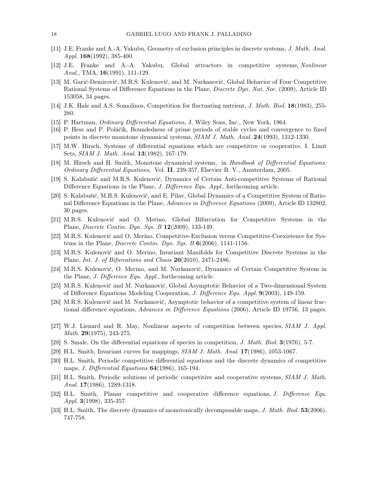- [11] J.E. Franke and A.-A. Yakubu, Geometry of exclusion principles in discrete systems, J. Math. Anal. Appl.  $168(1992)$ , 385-400.
- <span id="page-17-0"></span>[12] J.E. Franke and A.-A. Yakubu, Global attractors in competitive systems, Nonlinear Anal., TMA, 16(1991), 111-129.
- <span id="page-17-13"></span>[13] M. Garić-Demirović, M.R.S. Kulenović, and M. Nurkanović, Global Behavior of Four Competitive Rational Systems of Difference Equations in the Plane, Discrete Dyn. Nat. Soc. (2009), Article ID 153058, 34 pages.
- <span id="page-17-16"></span><span id="page-17-8"></span>[14] J.K. Hale and A.S. Somolinos, Competition for fluctuating nutrient, *J. Math. Biol.* **18**(1983), 255-280.
- <span id="page-17-1"></span>[15] P. Hartman, Ordinary Differential Equations, J. Wiley Sons, Inc., New York, 1964.
- [16] P. Hess and P. Poláčik, Boundedness of prime periods of stable cycles and convergence to fixed points in discrete monotone dynamical systems, SIAM J. Math. Anal. 24(1993), 1312-1330.
- <span id="page-17-7"></span>[17] M.W. Hirsch, Systems of differential equations which are competitive or cooperative. I. Limit Sets, SIAM J. Math. Anal. 13(1982), 167-179.
- <span id="page-17-2"></span>[18] M. Hirsch and H. Smith, Monotone dynamical systems, in Handbook of Differential Equations: Ordinary Differential Equations, Vol. II, 239-357, Elsevier B. V., Amsterdam, 2005.
- <span id="page-17-14"></span>[19] S. Kalabušić and M.R.S. Kulenović, Dynamics of Certain Anti-competitive Systems of Rational Difference Equations in the Plane, *J. Difference Equ. Appl.*, forthcoming article.
- [20] S. Kalabušić, M.R.S. Kulenović, and E. Pilav, Global Dynamics of a Competitive System of Rational Difference Equations in the Plane, Advances in Difference Equations (2009), Article ID 132802, 30 pages.
- <span id="page-17-3"></span>[21] M.R.S. Kulenović and O. Merino, Global Bifurcation for Competitive Systems in the Plane, Discrete Contin. Dyn. Sys. B 12(2009), 133-149.
- [22] M.R.S. Kulenović and O. Merino, Competitive-Exclusion versus Competitive-Coexistence for Systems in the Plane, *Discrete Contin. Dyn. Sys. B*  $6(2006)$ , 1141-1156.
- <span id="page-17-4"></span>[23] M.R.S. Kulenović and O. Merino, Invariant Manifolds for Competitive Discrete Systems in the Plane, Int. J. of Bifurcations and Chaos  $20(2010)$ , 2471-2486.
- [24] M.R.S. Kulenović, O. Merino, and M. Nurkanović, Dynamics of Certain Competitive System in the Plane, J. Difference Equ. Appl., forthcoming article.
- [25] M.R.S. Kulenović and M. Nurkanović, Global Asymptotic Behavior of a Two-dimensional System of Difference Equations Modeling Cooperation, J. Difference Equ. Appl. 9(2003), 149-159.
- <span id="page-17-15"></span>[26] M.R.S. Kulenović and M. Nurkanović, Asymptotic behavior of a competitive system of linear fractional difference equations, Advances in Difference Equations (2006), Article ID 19756, 13 pages.
- <span id="page-17-9"></span>[27] W.J. Lienard and R. May, Nonlinear aspects of competition between species, SIAM J. Appl. Math. 29(1975), 243-275.
- <span id="page-17-10"></span><span id="page-17-5"></span>[28] S. Smale, On the differential equations of species in competition, *J. Math. Biol.* **3**(1976), 5-7.
- <span id="page-17-11"></span>[29] H.L. Smith, Invariant curves for mappings, SIAM J. Math. Anal. 17(1986), 1053-1067.
- [30] H.L. Smith, Periodic competitive differential equations and the discrete dynamics of competitive maps, *J. Differential Equations* **64**(1986), 165-194.
- <span id="page-17-12"></span>[31] H.L. Smith, Periodic solutions of periodic competitive and cooperative systems, SIAM J. Math. Anal. **17**(1986), 1289-1318.
- [32] H.L. Smith, Planar competitive and cooperative difference equations, J. Difference Equ. Appl. 3(1998), 335-357.
- <span id="page-17-6"></span>[33] H.L. Smith, The discrete dynamics of monotonically decomposable maps, J. Math. Biol. 53(2006), 747-758.